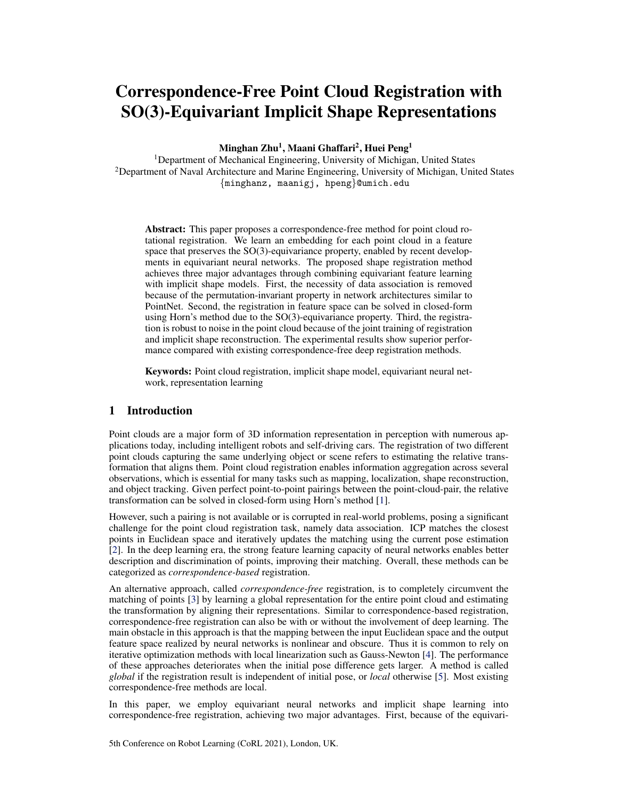# Correspondence-Free Point Cloud Registration with SO(3)-Equivariant Implicit Shape Representations

Minghan Zhu<sup>1</sup>, Maani Ghaffari<sup>2</sup>, Huei Peng<sup>1</sup>

<sup>1</sup>Department of Mechanical Engineering, University of Michigan, United States <sup>2</sup>Department of Naval Architecture and Marine Engineering, University of Michigan, United States {minghanz, maanigj, hpeng}@umich.edu

Abstract: This paper proposes a correspondence-free method for point cloud rotational registration. We learn an embedding for each point cloud in a feature space that preserves the SO(3)-equivariance property, enabled by recent developments in equivariant neural networks. The proposed shape registration method achieves three major advantages through combining equivariant feature learning with implicit shape models. First, the necessity of data association is removed because of the permutation-invariant property in network architectures similar to PointNet. Second, the registration in feature space can be solved in closed-form using Horn's method due to the SO(3)-equivariance property. Third, the registration is robust to noise in the point cloud because of the joint training of registration and implicit shape reconstruction. The experimental results show superior performance compared with existing correspondence-free deep registration methods.

Keywords: Point cloud registration, implicit shape model, equivariant neural network, representation learning

# 1 Introduction

Point clouds are a major form of 3D information representation in perception with numerous applications today, including intelligent robots and self-driving cars. The registration of two different point clouds capturing the same underlying object or scene refers to estimating the relative transformation that aligns them. Point cloud registration enables information aggregation across several observations, which is essential for many tasks such as mapping, localization, shape reconstruction, and object tracking. Given perfect point-to-point pairings between the point-cloud-pair, the relative transformation can be solved in closed-form using Horn's method [\[1\]](#page-8-0).

However, such a pairing is not available or is corrupted in real-world problems, posing a significant challenge for the point cloud registration task, namely data association. ICP matches the closest points in Euclidean space and iteratively updates the matching using the current pose estimation [\[2\]](#page-8-0). In the deep learning era, the strong feature learning capacity of neural networks enables better description and discrimination of points, improving their matching. Overall, these methods can be categorized as *correspondence-based* registration.

An alternative approach, called *correspondence-free* registration, is to completely circumvent the matching of points [\[3\]](#page-8-0) by learning a global representation for the entire point cloud and estimating the transformation by aligning their representations. Similar to correspondence-based registration, correspondence-free registration can also be with or without the involvement of deep learning. The main obstacle in this approach is that the mapping between the input Euclidean space and the output feature space realized by neural networks is nonlinear and obscure. Thus it is common to rely on iterative optimization methods with local linearization such as Gauss-Newton [\[4\]](#page-8-0). The performance of these approaches deteriorates when the initial pose difference gets larger. A method is called *global* if the registration result is independent of initial pose, or *local* otherwise [\[5\]](#page-8-0). Most existing correspondence-free methods are local.

In this paper, we employ equivariant neural networks and implicit shape learning into correspondence-free registration, achieving two major advantages. First, because of the equivari-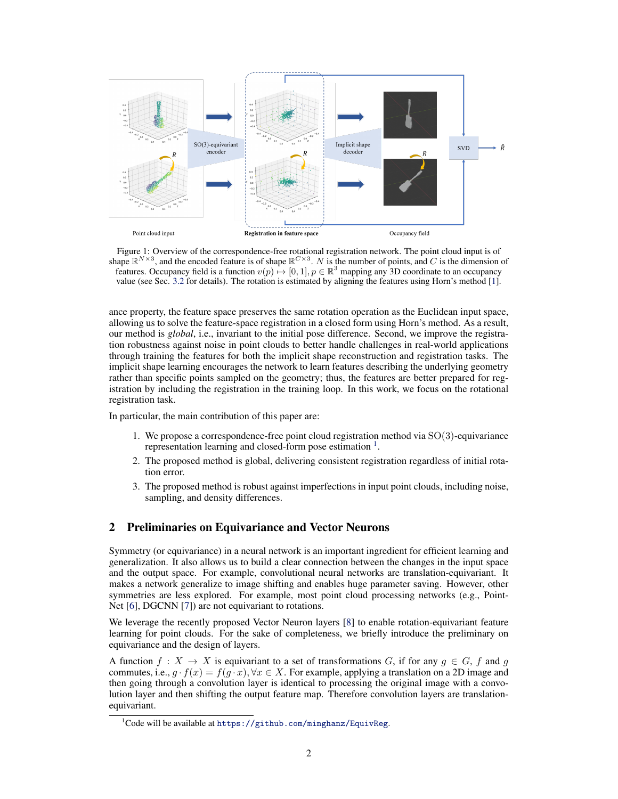

Figure 1: Overview of the correspondence-free rotational registration network. The point cloud input is of shape  $\mathbb{R}^{N\times 3}$ , and the encoded feature is of shape  $\mathbb{R}^{C\times 3}$ . N is the number of points, and C is th features. Occupancy field is a function  $v(p) \mapsto [0, 1], p \in \mathbb{R}^3$  mapping any 3D coordinate to an occupancy value (see Sec. [3.2](#page-3-0) for details). The rotation is estimated by aligning the features using Horn's method [\[1\]](#page-8-0).

ance property, the feature space preserves the same rotation operation as the Euclidean input space, allowing us to solve the feature-space registration in a closed form using Horn's method. As a result, our method is *global*, i.e., invariant to the initial pose difference. Second, we improve the registration robustness against noise in point clouds to better handle challenges in real-world applications through training the features for both the implicit shape reconstruction and registration tasks. The implicit shape learning encourages the network to learn features describing the underlying geometry rather than specific points sampled on the geometry; thus, the features are better prepared for registration by including the registration in the training loop. In this work, we focus on the rotational registration task.

In particular, the main contribution of this paper are:

- 1. We propose a correspondence-free point cloud registration method via  $SO(3)$ -equivariance representation learning and closed-form pose estimation <sup>1</sup>.
- 2. The proposed method is global, delivering consistent registration regardless of initial rotation error.
- 3. The proposed method is robust against imperfections in input point clouds, including noise, sampling, and density differences.

# 2 Preliminaries on Equivariance and Vector Neurons

Symmetry (or equivariance) in a neural network is an important ingredient for efficient learning and generalization. It also allows us to build a clear connection between the changes in the input space and the output space. For example, convolutional neural networks are translation-equivariant. It makes a network generalize to image shifting and enables huge parameter saving. However, other symmetries are less explored. For example, most point cloud processing networks (e.g., Point-Net [\[6\]](#page-8-0), DGCNN [\[7\]](#page-8-0)) are not equivariant to rotations.

We leverage the recently proposed Vector Neuron layers [\[8\]](#page-8-0) to enable rotation-equivariant feature learning for point clouds. For the sake of completeness, we briefly introduce the preliminary on equivariance and the design of layers.

A function  $f: X \to X$  is equivariant to a set of transformations G, if for any  $g \in G$ , f and g commutes, i.e.,  $g \cdot f(x) = f(g \cdot x)$ ,  $\forall x \in X$ . For example, applying a translation on a 2D image and then going through a convolution layer is identical to processing the original image with a convolution layer and then shifting the output feature map. Therefore convolution layers are translationequivariant.

 $1$ Code will be available at <https://github.com/minghanz/EquivReg>.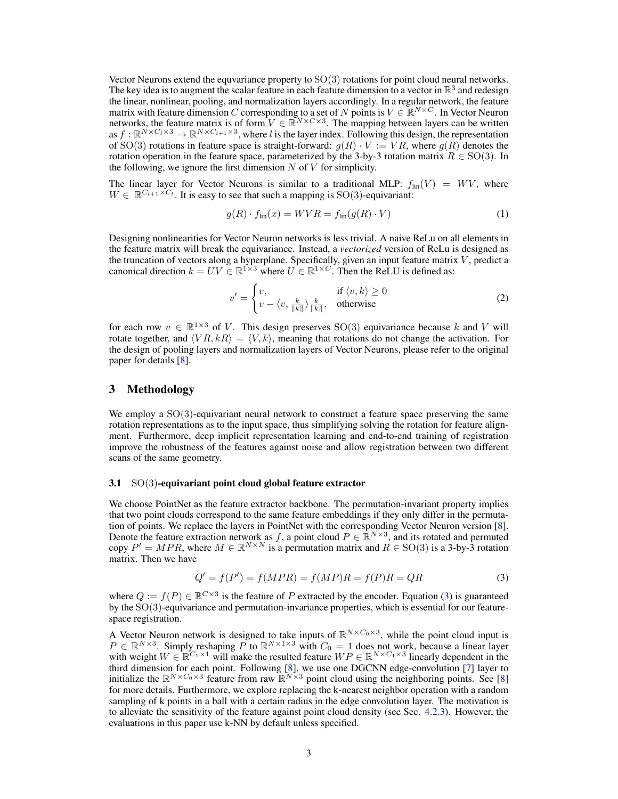<span id="page-2-0"></span>Vector Neurons extend the equvariance property to SO(3) rotations for point cloud neural networks. The key idea is to augment the scalar feature in each feature dimension to a vector in  $\mathbb{R}^3$  and redesign the linear, nonlinear, pooling, and normalization layers accordingly. In a regular network, the feature matrix with feature dimension C corresponding to a set of N points is  $V \in \mathbb{R}^{N \times C}$ . In Vector Neuron networks, the feature matrix is of form  $V \in \mathbb{R}^{N \times C \times 3}$ . The mapping between layers can be written as  $f: \mathbb{R}^{N \times C_l \times 3} \to \mathbb{R}^{N \times C_{l+1} \times 3}$ , where l is the layer index. Following this design, the representation of SO(3) rotations in feature space is straight-forward:  $g(R) \cdot V := VR$ , where  $g(R)$  denotes the rotation operation in the feature space, parameterized by the 3-by-3 rotation matrix  $R \in SO(3)$ . In the following, we ignore the first dimension  $N$  of  $V$  for simplicity.

The linear layer for Vector Neurons is similar to a traditional MLP:  $f_{lin}(V) = WV$ , where  $W \in \mathbb{R}^{C_{l+1} \times C_l}$ . It is easy to see that such a mapping is SO(3)-equivariant:

$$
g(R) \cdot f_{\text{lin}}(x) = WVR = f_{\text{lin}}(g(R) \cdot V) \tag{1}
$$

Designing nonlinearities for Vector Neuron networks is less trivial. A naive ReLu on all elements in the feature matrix will break the equivariance. Instead, a *vectorized* version of ReLu is designed as the truncation of vectors along a hyperplane. Specifically, given an input feature matrix  $V$ , predict a canonical direction  $k = UV \in \mathbb{R}^{1 \times 3}$  where  $U \in \mathbb{R}^{1 \times C}$ . Then the ReLU is defined as:

$$
v' = \begin{cases} v, & \text{if } \langle v, k \rangle \ge 0 \\ v - \langle v, \frac{k}{\|k\|} \rangle \frac{k}{\|k\|}, & \text{otherwise} \end{cases}
$$
 (2)

for each row  $v \in \mathbb{R}^{1 \times 3}$  of V. This design preserves SO(3) equivariance because k and V will rotate together, and  $\langle VR, kR\rangle = \langle V, k\rangle$ , meaning that rotations do not change the activation. For the design of pooling layers and normalization layers of Vector Neurons, please refer to the original paper for details [\[8\]](#page-8-0).

# 3 Methodology

We employ a SO(3)-equivariant neural network to construct a feature space preserving the same rotation representations as to the input space, thus simplifying solving the rotation for feature alignment. Furthermore, deep implicit representation learning and end-to-end training of registration improve the robustness of the features against noise and allow registration between two different scans of the same geometry.

#### 3.1 SO(3)-equivariant point cloud global feature extractor

We choose PointNet as the feature extractor backbone. The permutation-invariant property implies that two point clouds correspond to the same feature embeddings if they only differ in the permutation of points. We replace the layers in PointNet with the corresponding Vector Neuron version [\[8\]](#page-8-0). Denote the feature extraction network as f, a point cloud  $P \in \mathbb{R}^{N \times 3}$ , and its rotated and permuted copy  $P' = MPR$ , where  $M \in \mathbb{R}^{N \times N}$  is a permutation matrix and  $R \in SO(3)$  is a 3-by-3 rotation matrix. Then we have

$$
Q' = f(P') = f(MPR) = f(MP)R = f(P)R = QR
$$
\n(3)

where  $Q := f(P) \in \mathbb{R}^{C \times 3}$  is the feature of P extracted by the encoder. Equation (3) is guaranteed by the SO(3)-equivariance and permutation-invariance properties, which is essential for our featurespace registration.

A Vector Neuron network is designed to take inputs of  $\mathbb{R}^{N\times C_0\times 3}$ , while the point cloud input is  $P \in \mathbb{R}^{N \times 3}$ . Simply reshaping P to  $\mathbb{R}^{N \times 1 \times 3}$  with  $C_0 = 1$  does not work, because a linear layer with weight  $W \in \mathbb{R}^{C_1 \times 1}$  will make the resulted feature  $WP \in \mathbb{R}^{N \times C_1 \times 3}$  linearly dependent in the third dimension for each point. Following [\[8\]](#page-8-0), we use one DGCNN edge-convolution [\[7\]](#page-8-0) layer to initialize the  $\mathbb{R}^{N \times C_0 \times 3}$  feature from raw  $\mathbb{R}^{N \times 3}$  point cloud using the neighboring points. See [\[8\]](#page-8-0) for more details. Furthermore, we explore replacing the k-nearest neighbor operation with a random sampling of k points in a ball with a certain radius in the edge convolution layer. The motivation is to alleviate the sensitivity of the feature against point cloud density (see Sec. [4.2.3\)](#page-5-0). However, the evaluations in this paper use k-NN by default unless specified.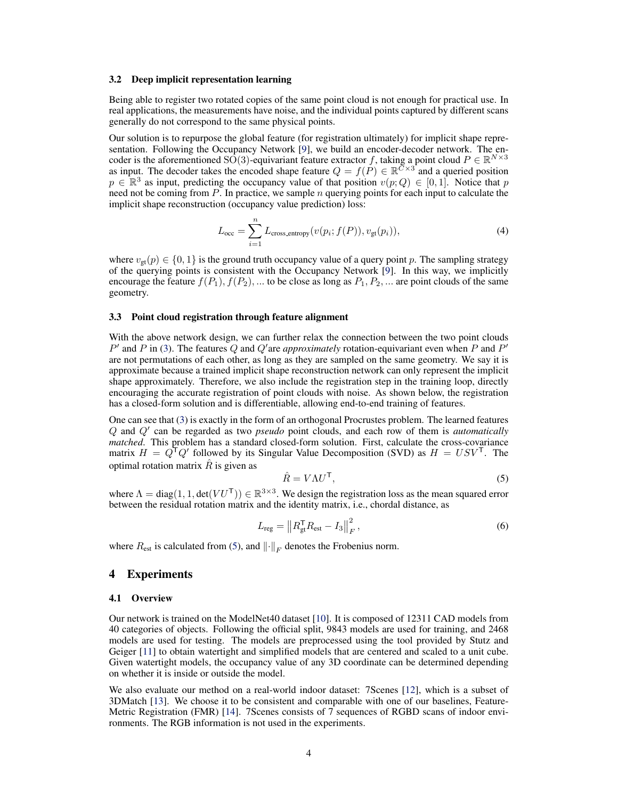#### <span id="page-3-0"></span>3.2 Deep implicit representation learning

Being able to register two rotated copies of the same point cloud is not enough for practical use. In real applications, the measurements have noise, and the individual points captured by different scans generally do not correspond to the same physical points.

Our solution is to repurpose the global feature (for registration ultimately) for implicit shape representation. Following the Occupancy Network [\[9\]](#page-8-0), we build an encoder-decoder network. The encoder is the aforementioned SO(3)-equivariant feature extractor f, taking a point cloud  $P \in \mathbb{R}^{N \times 3}$ as input. The decoder takes the encoded shape feature  $Q = f(P) \in \mathbb{R}^{C \times 3}$  and a queried position  $p \in \mathbb{R}^3$  as input, predicting the occupancy value of that position  $v(p; Q) \in [0, 1]$ . Notice that p need not be coming from  $P$ . In practice, we sample  $n$  querying points for each input to calculate the implicit shape reconstruction (occupancy value prediction) loss:

$$
L_{\text{occ}} = \sum_{i=1}^{n} L_{\text{cross\_entropy}}(v(p_i; f(P)), v_{\text{gt}}(p_i)),
$$
\n(4)

where  $v_{gt}(p) \in \{0, 1\}$  is the ground truth occupancy value of a query point p. The sampling strategy of the querying points is consistent with the Occupancy Network [\[9\]](#page-8-0). In this way, we implicitly encourage the feature  $f(P_1), f(P_2), ...$  to be close as long as  $P_1, P_2, ...$  are point clouds of the same geometry.

#### 3.3 Point cloud registration through feature alignment

With the above network design, we can further relax the connection between the two point clouds  $P'$  and P in [\(3\)](#page-2-0). The features Q and Q'are *approximately* rotation-equivariant even when P and P' are not permutations of each other, as long as they are sampled on the same geometry. We say it is approximate because a trained implicit shape reconstruction network can only represent the implicit shape approximately. Therefore, we also include the registration step in the training loop, directly encouraging the accurate registration of point clouds with noise. As shown below, the registration has a closed-form solution and is differentiable, allowing end-to-end training of features.

One can see that [\(3\)](#page-2-0) is exactly in the form of an orthogonal Procrustes problem. The learned features Q and Q' can be regarded as two *pseudo* point clouds, and each row of them is *automatically matched*. This problem has a standard closed-form solution. First, calculate the cross-covariance matrix  $H = Q^{\mathsf{T}}Q'$  followed by its Singular Value Decomposition (SVD) as  $H = USV^{\mathsf{T}}$ . The optimal rotation matrix  $\hat{R}$  is given as

$$
\hat{R} = V\Lambda U^{\mathsf{T}},\tag{5}
$$

where  $\Lambda = \text{diag}(1, 1, \text{det}(VU^{\mathsf{T}})) \in \mathbb{R}^{3 \times 3}$ . We design the registration loss as the mean squared error between the residual rotation matrix and the identity matrix, i.e., chordal distance, as

$$
L_{\text{reg}} = \|R_{\text{gt}}^{\text{T}} R_{\text{est}} - I_3\|_F^2, \qquad (6)
$$

where  $R_{est}$  is calculated from (5), and  $\left\| \cdot \right\|_F$  denotes the Frobenius norm.

# 4 Experiments

#### 4.1 Overview

Our network is trained on the ModelNet40 dataset [\[10\]](#page-8-0). It is composed of 12311 CAD models from 40 categories of objects. Following the official split, 9843 models are used for training, and 2468 models are used for testing. The models are preprocessed using the tool provided by Stutz and Geiger [\[11\]](#page-8-0) to obtain watertight and simplified models that are centered and scaled to a unit cube. Given watertight models, the occupancy value of any 3D coordinate can be determined depending on whether it is inside or outside the model.

We also evaluate our method on a real-world indoor dataset: 7Scenes [\[12\]](#page-8-0), which is a subset of 3DMatch [\[13\]](#page-8-0). We choose it to be consistent and comparable with one of our baselines, Feature-Metric Registration (FMR) [\[14\]](#page-8-0). 7Scenes consists of 7 sequences of RGBD scans of indoor environments. The RGB information is not used in the experiments.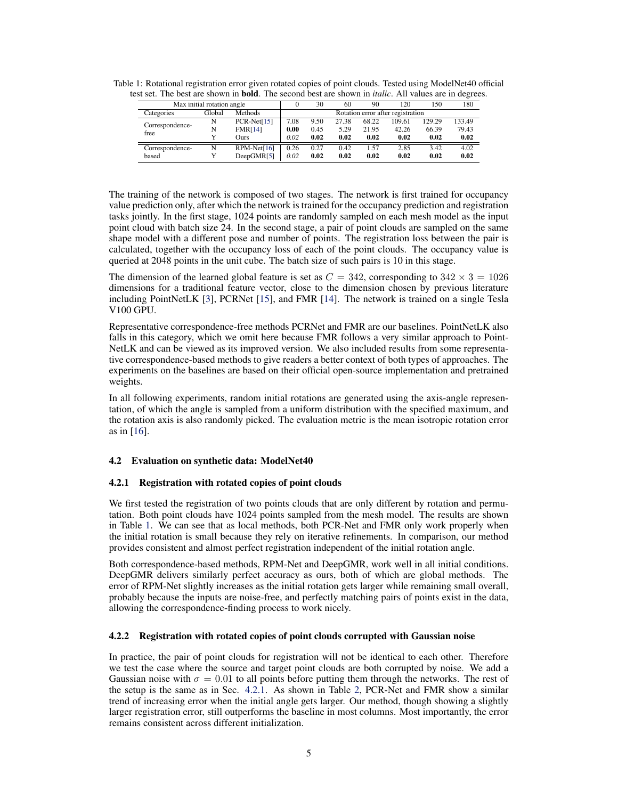| st set. The best are shown in <b>bond.</b> The second best are shown in <i>hance.</i> An values are in degrees |        |                |                                   |      |       |       |        |        |        |
|----------------------------------------------------------------------------------------------------------------|--------|----------------|-----------------------------------|------|-------|-------|--------|--------|--------|
| Max initial rotation angle                                                                                     |        |                |                                   | 30   | 60    | 90    | 120    | 150    | 180    |
| Categories                                                                                                     | Global | <b>Methods</b> | Rotation error after registration |      |       |       |        |        |        |
| Correspondence-<br>free                                                                                        | N      | $PCR-Net[15]$  | 7.08                              | 9.50 | 27.38 | 68.22 | 109.61 | 129.29 | 133.49 |
|                                                                                                                | N      | <b>FMR[14]</b> | 0.00                              | 0.45 | 5.29  | 21.95 | 42.26  | 66.39  | 79.43  |
|                                                                                                                |        | Ours           | 0.02                              | 0.02 | 0.02  | 0.02  | 0.02   | 0.02   | 0.02   |
| Correspondence-                                                                                                | N      | $RPM-Net[16]$  | 0.26                              | 0.27 | 0.42  | 1.57  | 2.85   | 3.42   | 4.02   |
| based                                                                                                          |        | DeepGMR[5]     | 0.02                              | 0.02 | 0.02  | 0.02  | 0.02   | 0.02   | 0.02   |

Table 1: Rotational registration error given rotated copies of point clouds. Tested using ModelNet40 official test set. The best are shown in bold. The second best are shown in *italic*. All values are in degrees.

The training of the network is composed of two stages. The network is first trained for occupancy value prediction only, after which the network is trained for the occupancy prediction and registration tasks jointly. In the first stage, 1024 points are randomly sampled on each mesh model as the input point cloud with batch size 24. In the second stage, a pair of point clouds are sampled on the same shape model with a different pose and number of points. The registration loss between the pair is calculated, together with the occupancy loss of each of the point clouds. The occupancy value is queried at 2048 points in the unit cube. The batch size of such pairs is 10 in this stage.

The dimension of the learned global feature is set as  $C = 342$ , corresponding to  $342 \times 3 = 1026$ dimensions for a traditional feature vector, close to the dimension chosen by previous literature including PointNetLK [\[3\]](#page-8-0), PCRNet [\[15\]](#page-8-0), and FMR [\[14\]](#page-8-0). The network is trained on a single Tesla V100 GPU.

Representative correspondence-free methods PCRNet and FMR are our baselines. PointNetLK also falls in this category, which we omit here because FMR follows a very similar approach to Point-NetLK and can be viewed as its improved version. We also included results from some representative correspondence-based methods to give readers a better context of both types of approaches. The experiments on the baselines are based on their official open-source implementation and pretrained weights.

In all following experiments, random initial rotations are generated using the axis-angle representation, of which the angle is sampled from a uniform distribution with the specified maximum, and the rotation axis is also randomly picked. The evaluation metric is the mean isotropic rotation error as in [\[16\]](#page-8-0).

## 4.2 Evaluation on synthetic data: ModelNet40

#### 4.2.1 Registration with rotated copies of point clouds

We first tested the registration of two points clouds that are only different by rotation and permutation. Both point clouds have 1024 points sampled from the mesh model. The results are shown in Table 1. We can see that as local methods, both PCR-Net and FMR only work properly when the initial rotation is small because they rely on iterative refinements. In comparison, our method provides consistent and almost perfect registration independent of the initial rotation angle.

Both correspondence-based methods, RPM-Net and DeepGMR, work well in all initial conditions. DeepGMR delivers similarly perfect accuracy as ours, both of which are global methods. The error of RPM-Net slightly increases as the initial rotation gets larger while remaining small overall, probably because the inputs are noise-free, and perfectly matching pairs of points exist in the data, allowing the correspondence-finding process to work nicely.

#### 4.2.2 Registration with rotated copies of point clouds corrupted with Gaussian noise

In practice, the pair of point clouds for registration will not be identical to each other. Therefore we test the case where the source and target point clouds are both corrupted by noise. We add a Gaussian noise with  $\sigma = 0.01$  to all points before putting them through the networks. The rest of the setup is the same as in Sec. 4.2.1. As shown in Table [2,](#page-5-0) PCR-Net and FMR show a similar trend of increasing error when the initial angle gets larger. Our method, though showing a slightly larger registration error, still outperforms the baseline in most columns. Most importantly, the error remains consistent across different initialization.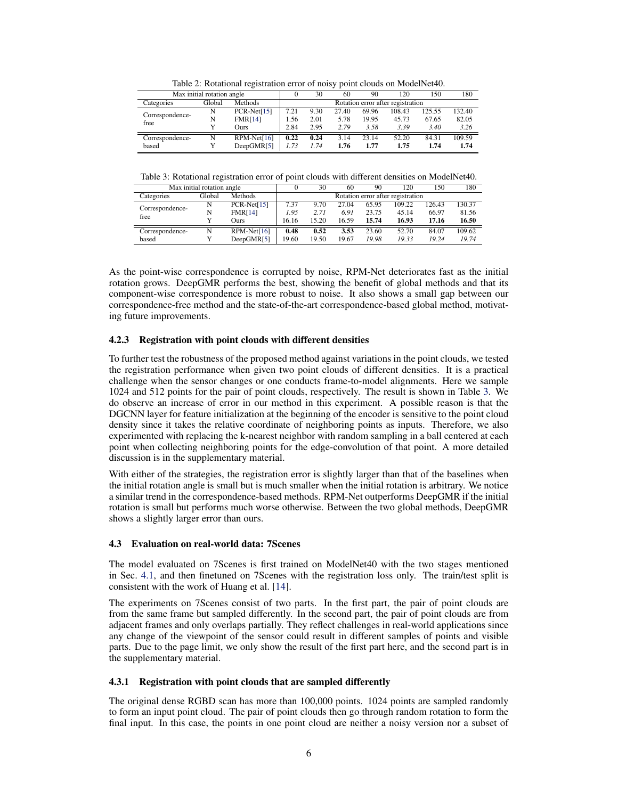<span id="page-5-0"></span>

| raore 2: recurrent regionation error or noisy point elouds on mouen (et lot |        |                |                                   |      |       |       |        |        |        |  |
|-----------------------------------------------------------------------------|--------|----------------|-----------------------------------|------|-------|-------|--------|--------|--------|--|
| Max initial rotation angle                                                  |        |                |                                   | 30   | 60    | 90    | 120    | 150    | 180    |  |
| Categories                                                                  | Global | <b>Methods</b> | Rotation error after registration |      |       |       |        |        |        |  |
| Correspondence-<br>free                                                     | N      | $PCR-Net[15]$  | 7.21                              | 9.30 | 27.40 | 69.96 | 108.43 | 125.55 | 132.40 |  |
|                                                                             | N      | <b>FMR[14]</b> | 1.56                              | 2.01 | 5.78  | 19.95 | 45.73  | 67.65  | 82.05  |  |
|                                                                             |        | Ours           | 2.84                              | 2.95 | 2.79  | 3.58  | 3.39   | 3.40   | 3.26   |  |
| Correspondence-                                                             | N      | $RPM-Net[16]$  | 0.22                              | 0.24 | 3.14  | 23.14 | 52.20  | 84.31  | 109.59 |  |
| based                                                                       |        | DeepGMR[5]     | 1.73                              | 1.74 | 1.76  | 1.77  | 1.75   | 1.74   | 1.74   |  |

Table 2: Rotational registration error of noisy point clouds on ModelNet40.

Table 3: Rotational registration error of point clouds with different densities on ModelNet40.

| Max initial rotation angle |        |                |                                   | 30    | 60    | 90    | 120    | 150    | 180    |
|----------------------------|--------|----------------|-----------------------------------|-------|-------|-------|--------|--------|--------|
| Categories                 | Global | <b>Methods</b> | Rotation error after registration |       |       |       |        |        |        |
| Correspondence-<br>free    | N      | $PCR-Net[15]$  | 7.37                              | 9.70  | 27.04 | 65.95 | 109.22 | 126.43 | 130.37 |
|                            | N      | <b>FMR[14]</b> | 1.95                              | 2.71  | 6.91  | 23.75 | 45.14  | 66.97  | 81.56  |
|                            |        | Ours           | 16.16                             | 15.20 | 16.59 | 15.74 | 16.93  | 17.16  | 16.50  |
| Correspondence-            | N      | $RPM-Net[16]$  | 0.48                              | 0.52  | 3.53  | 23.60 | 52.70  | 84.07  | 109.62 |
| based                      |        | DeepGMR[5]     | 19.60                             | 19.50 | 19.67 | 19.98 | 19.33  | 19.24  | 19.74  |

As the point-wise correspondence is corrupted by noise, RPM-Net deteriorates fast as the initial rotation grows. DeepGMR performs the best, showing the benefit of global methods and that its component-wise correspondence is more robust to noise. It also shows a small gap between our correspondence-free method and the state-of-the-art correspondence-based global method, motivating future improvements.

## 4.2.3 Registration with point clouds with different densities

To further test the robustness of the proposed method against variations in the point clouds, we tested the registration performance when given two point clouds of different densities. It is a practical challenge when the sensor changes or one conducts frame-to-model alignments. Here we sample 1024 and 512 points for the pair of point clouds, respectively. The result is shown in Table 3. We do observe an increase of error in our method in this experiment. A possible reason is that the DGCNN layer for feature initialization at the beginning of the encoder is sensitive to the point cloud density since it takes the relative coordinate of neighboring points as inputs. Therefore, we also experimented with replacing the k-nearest neighbor with random sampling in a ball centered at each point when collecting neighboring points for the edge-convolution of that point. A more detailed discussion is in the supplementary material.

With either of the strategies, the registration error is slightly larger than that of the baselines when the initial rotation angle is small but is much smaller when the initial rotation is arbitrary. We notice a similar trend in the correspondence-based methods. RPM-Net outperforms DeepGMR if the initial rotation is small but performs much worse otherwise. Between the two global methods, DeepGMR shows a slightly larger error than ours.

## 4.3 Evaluation on real-world data: 7Scenes

The model evaluated on 7Scenes is first trained on ModelNet40 with the two stages mentioned in Sec. [4.1,](#page-3-0) and then finetuned on 7Scenes with the registration loss only. The train/test split is consistent with the work of Huang et al. [\[14\]](#page-8-0).

The experiments on 7Scenes consist of two parts. In the first part, the pair of point clouds are from the same frame but sampled differently. In the second part, the pair of point clouds are from adjacent frames and only overlaps partially. They reflect challenges in real-world applications since any change of the viewpoint of the sensor could result in different samples of points and visible parts. Due to the page limit, we only show the result of the first part here, and the second part is in the supplementary material.

# 4.3.1 Registration with point clouds that are sampled differently

The original dense RGBD scan has more than 100,000 points. 1024 points are sampled randomly to form an input point cloud. The pair of point clouds then go through random rotation to form the final input. In this case, the points in one point cloud are neither a noisy version nor a subset of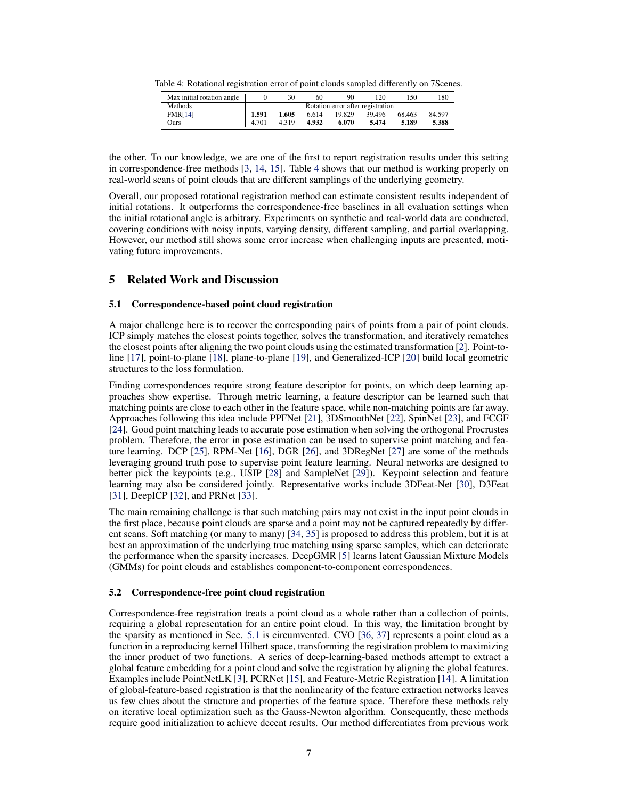| Max initial rotation angle |       | 30                                | 60    | 90     | 120    | 150    | 180    |  |
|----------------------------|-------|-----------------------------------|-------|--------|--------|--------|--------|--|
| Methods                    |       | Rotation error after registration |       |        |        |        |        |  |
| <b>FMR[14]</b>             | 1.591 | 1.605                             | 6.614 | 19.829 | 39.496 | 68.463 | 84.597 |  |
| Ours                       | 4.701 | 4.319                             | 4.932 | 6.070  | 5.474  | 5.189  | 5.388  |  |

Table 4: Rotational registration error of point clouds sampled differently on 7Scenes.

the other. To our knowledge, we are one of the first to report registration results under this setting in correspondence-free methods [\[3,](#page-8-0) [14,](#page-8-0) [15\]](#page-8-0). Table 4 shows that our method is working properly on real-world scans of point clouds that are different samplings of the underlying geometry.

Overall, our proposed rotational registration method can estimate consistent results independent of initial rotations. It outperforms the correspondence-free baselines in all evaluation settings when the initial rotational angle is arbitrary. Experiments on synthetic and real-world data are conducted, covering conditions with noisy inputs, varying density, different sampling, and partial overlapping. However, our method still shows some error increase when challenging inputs are presented, motivating future improvements.

# 5 Related Work and Discussion

# 5.1 Correspondence-based point cloud registration

A major challenge here is to recover the corresponding pairs of points from a pair of point clouds. ICP simply matches the closest points together, solves the transformation, and iteratively rematches the closest points after aligning the two point clouds using the estimated transformation [\[2\]](#page-8-0). Point-toline [\[17\]](#page-8-0), point-to-plane [\[18\]](#page-8-0), plane-to-plane [\[19\]](#page-9-0), and Generalized-ICP [\[20\]](#page-9-0) build local geometric structures to the loss formulation.

Finding correspondences require strong feature descriptor for points, on which deep learning approaches show expertise. Through metric learning, a feature descriptor can be learned such that matching points are close to each other in the feature space, while non-matching points are far away. Approaches following this idea include PPFNet [\[21\]](#page-9-0), 3DSmoothNet [\[22\]](#page-9-0), SpinNet [\[23\]](#page-9-0), and FCGF [\[24\]](#page-9-0). Good point matching leads to accurate pose estimation when solving the orthogonal Procrustes problem. Therefore, the error in pose estimation can be used to supervise point matching and feature learning. DCP [\[25\]](#page-9-0), RPM-Net [\[16\]](#page-8-0), DGR [\[26\]](#page-9-0), and 3DRegNet [\[27\]](#page-9-0) are some of the methods leveraging ground truth pose to supervise point feature learning. Neural networks are designed to better pick the keypoints (e.g., USIP [\[28\]](#page-9-0) and SampleNet [\[29\]](#page-9-0)). Keypoint selection and feature learning may also be considered jointly. Representative works include 3DFeat-Net [\[30\]](#page-9-0), D3Feat [\[31\]](#page-9-0), DeepICP [\[32\]](#page-9-0), and PRNet [\[33\]](#page-9-0).

The main remaining challenge is that such matching pairs may not exist in the input point clouds in the first place, because point clouds are sparse and a point may not be captured repeatedly by different scans. Soft matching (or many to many) [\[34,](#page-9-0) [35\]](#page-9-0) is proposed to address this problem, but it is at best an approximation of the underlying true matching using sparse samples, which can deteriorate the performance when the sparsity increases. DeepGMR [\[5\]](#page-8-0) learns latent Gaussian Mixture Models (GMMs) for point clouds and establishes component-to-component correspondences.

#### 5.2 Correspondence-free point cloud registration

Correspondence-free registration treats a point cloud as a whole rather than a collection of points, requiring a global representation for an entire point cloud. In this way, the limitation brought by the sparsity as mentioned in Sec. 5.1 is circumvented. CVO [\[36,](#page-9-0) [37\]](#page-9-0) represents a point cloud as a function in a reproducing kernel Hilbert space, transforming the registration problem to maximizing the inner product of two functions. A series of deep-learning-based methods attempt to extract a global feature embedding for a point cloud and solve the registration by aligning the global features. Examples include PointNetLK [\[3\]](#page-8-0), PCRNet [\[15\]](#page-8-0), and Feature-Metric Registration [\[14\]](#page-8-0). A limitation of global-feature-based registration is that the nonlinearity of the feature extraction networks leaves us few clues about the structure and properties of the feature space. Therefore these methods rely on iterative local optimization such as the Gauss-Newton algorithm. Consequently, these methods require good initialization to achieve decent results. Our method differentiates from previous work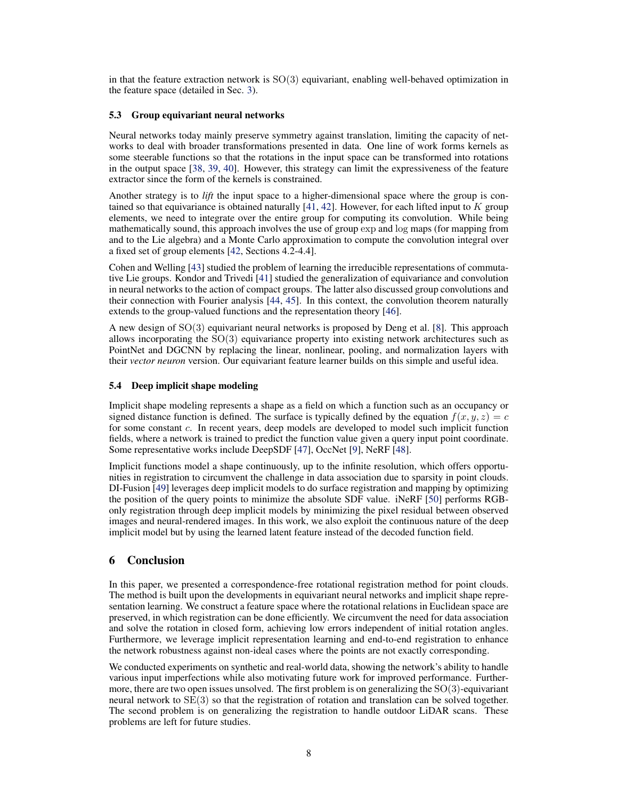in that the feature extraction network is  $SO(3)$  equivariant, enabling well-behaved optimization in the feature space (detailed in Sec. [3\)](#page-2-0).

#### 5.3 Group equivariant neural networks

Neural networks today mainly preserve symmetry against translation, limiting the capacity of networks to deal with broader transformations presented in data. One line of work forms kernels as some steerable functions so that the rotations in the input space can be transformed into rotations in the output space [\[38,](#page-9-0) [39,](#page-9-0) [40\]](#page-10-0). However, this strategy can limit the expressiveness of the feature extractor since the form of the kernels is constrained.

Another strategy is to *lift* the input space to a higher-dimensional space where the group is contained so that equivariance is obtained naturally [\[41,](#page-10-0) [42\]](#page-10-0). However, for each lifted input to K group elements, we need to integrate over the entire group for computing its convolution. While being mathematically sound, this approach involves the use of group exp and log maps (for mapping from and to the Lie algebra) and a Monte Carlo approximation to compute the convolution integral over a fixed set of group elements [\[42,](#page-10-0) Sections 4.2-4.4].

Cohen and Welling [\[43\]](#page-10-0) studied the problem of learning the irreducible representations of commutative Lie groups. Kondor and Trivedi [\[41\]](#page-10-0) studied the generalization of equivariance and convolution in neural networks to the action of compact groups. The latter also discussed group convolutions and their connection with Fourier analysis [\[44,](#page-10-0) [45\]](#page-10-0). In this context, the convolution theorem naturally extends to the group-valued functions and the representation theory [\[46\]](#page-10-0).

A new design of SO(3) equivariant neural networks is proposed by Deng et al. [\[8\]](#page-8-0). This approach allows incorporating the  $SO(3)$  equivariance property into existing network architectures such as PointNet and DGCNN by replacing the linear, nonlinear, pooling, and normalization layers with their *vector neuron* version. Our equivariant feature learner builds on this simple and useful idea.

#### 5.4 Deep implicit shape modeling

Implicit shape modeling represents a shape as a field on which a function such as an occupancy or signed distance function is defined. The surface is typically defined by the equation  $f(x, y, z) = c$ for some constant c. In recent years, deep models are developed to model such implicit function fields, where a network is trained to predict the function value given a query input point coordinate. Some representative works include DeepSDF [\[47\]](#page-10-0), OccNet [\[9\]](#page-8-0), NeRF [\[48\]](#page-10-0).

Implicit functions model a shape continuously, up to the infinite resolution, which offers opportunities in registration to circumvent the challenge in data association due to sparsity in point clouds. DI-Fusion [\[49\]](#page-10-0) leverages deep implicit models to do surface registration and mapping by optimizing the position of the query points to minimize the absolute SDF value. iNeRF [\[50\]](#page-10-0) performs RGBonly registration through deep implicit models by minimizing the pixel residual between observed images and neural-rendered images. In this work, we also exploit the continuous nature of the deep implicit model but by using the learned latent feature instead of the decoded function field.

# 6 Conclusion

In this paper, we presented a correspondence-free rotational registration method for point clouds. The method is built upon the developments in equivariant neural networks and implicit shape representation learning. We construct a feature space where the rotational relations in Euclidean space are preserved, in which registration can be done efficiently. We circumvent the need for data association and solve the rotation in closed form, achieving low errors independent of initial rotation angles. Furthermore, we leverage implicit representation learning and end-to-end registration to enhance the network robustness against non-ideal cases where the points are not exactly corresponding.

We conducted experiments on synthetic and real-world data, showing the network's ability to handle various input imperfections while also motivating future work for improved performance. Furthermore, there are two open issues unsolved. The first problem is on generalizing the  $SO(3)$ -equivariant neural network to SE(3) so that the registration of rotation and translation can be solved together. The second problem is on generalizing the registration to handle outdoor LiDAR scans. These problems are left for future studies.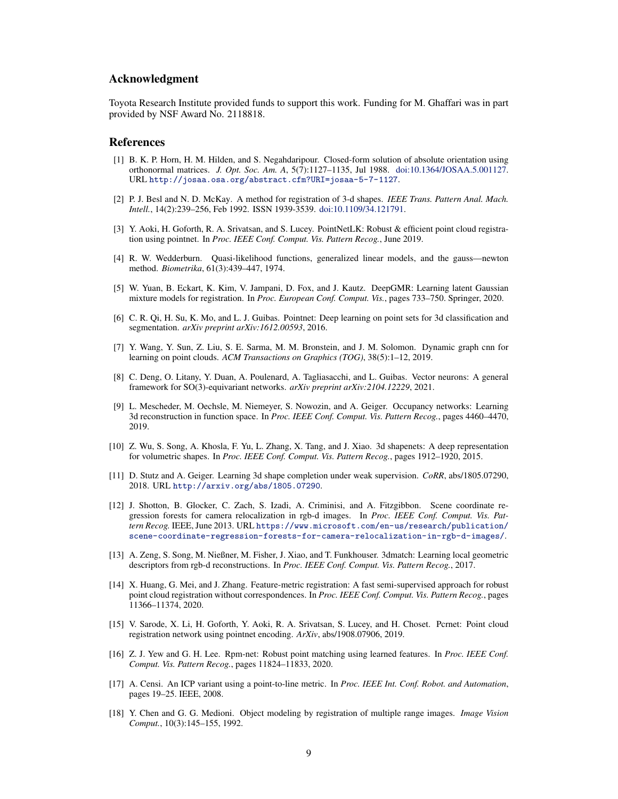# <span id="page-8-0"></span>Acknowledgment

Toyota Research Institute provided funds to support this work. Funding for M. Ghaffari was in part provided by NSF Award No. 2118818.

## References

- [1] B. K. P. Horn, H. M. Hilden, and S. Negahdaripour. Closed-form solution of absolute orientation using orthonormal matrices. *J. Opt. Soc. Am. A*, 5(7):1127–1135, Jul 1988. [doi:10.1364/JOSAA.5.001127.](http://dx.doi.org/10.1364/JOSAA.5.001127) URL <http://josaa.osa.org/abstract.cfm?URI=josaa-5-7-1127>.
- [2] P. J. Besl and N. D. McKay. A method for registration of 3-d shapes. *IEEE Trans. Pattern Anal. Mach. Intell.*, 14(2):239–256, Feb 1992. ISSN 1939-3539. [doi:10.1109/34.121791.](http://dx.doi.org/10.1109/34.121791)
- [3] Y. Aoki, H. Goforth, R. A. Srivatsan, and S. Lucey. PointNetLK: Robust & efficient point cloud registration using pointnet. In *Proc. IEEE Conf. Comput. Vis. Pattern Recog.*, June 2019.
- [4] R. W. Wedderburn. Quasi-likelihood functions, generalized linear models, and the gauss—newton method. *Biometrika*, 61(3):439–447, 1974.
- [5] W. Yuan, B. Eckart, K. Kim, V. Jampani, D. Fox, and J. Kautz. DeepGMR: Learning latent Gaussian mixture models for registration. In *Proc. European Conf. Comput. Vis.*, pages 733–750. Springer, 2020.
- [6] C. R. Qi, H. Su, K. Mo, and L. J. Guibas. Pointnet: Deep learning on point sets for 3d classification and segmentation. *arXiv preprint arXiv:1612.00593*, 2016.
- [7] Y. Wang, Y. Sun, Z. Liu, S. E. Sarma, M. M. Bronstein, and J. M. Solomon. Dynamic graph cnn for learning on point clouds. *ACM Transactions on Graphics (TOG)*, 38(5):1–12, 2019.
- [8] C. Deng, O. Litany, Y. Duan, A. Poulenard, A. Tagliasacchi, and L. Guibas. Vector neurons: A general framework for SO(3)-equivariant networks. *arXiv preprint arXiv:2104.12229*, 2021.
- [9] L. Mescheder, M. Oechsle, M. Niemeyer, S. Nowozin, and A. Geiger. Occupancy networks: Learning 3d reconstruction in function space. In *Proc. IEEE Conf. Comput. Vis. Pattern Recog.*, pages 4460–4470, 2019.
- [10] Z. Wu, S. Song, A. Khosla, F. Yu, L. Zhang, X. Tang, and J. Xiao. 3d shapenets: A deep representation for volumetric shapes. In *Proc. IEEE Conf. Comput. Vis. Pattern Recog.*, pages 1912–1920, 2015.
- [11] D. Stutz and A. Geiger. Learning 3d shape completion under weak supervision. *CoRR*, abs/1805.07290, 2018. URL <http://arxiv.org/abs/1805.07290>.
- [12] J. Shotton, B. Glocker, C. Zach, S. Izadi, A. Criminisi, and A. Fitzgibbon. Scene coordinate regression forests for camera relocalization in rgb-d images. In *Proc. IEEE Conf. Comput. Vis. Pattern Recog.* IEEE, June 2013. URL [https://www.microsoft.com/en-us/research/publication/](https://www.microsoft.com/en-us/research/publication/scene-coordinate-regression-forests-for-camera-relocalization-in-rgb-d-images/) [scene-coordinate-regression-forests-for-camera-relocalization-in-rgb-d-images/](https://www.microsoft.com/en-us/research/publication/scene-coordinate-regression-forests-for-camera-relocalization-in-rgb-d-images/).
- [13] A. Zeng, S. Song, M. Nießner, M. Fisher, J. Xiao, and T. Funkhouser. 3dmatch: Learning local geometric descriptors from rgb-d reconstructions. In *Proc. IEEE Conf. Comput. Vis. Pattern Recog.*, 2017.
- [14] X. Huang, G. Mei, and J. Zhang. Feature-metric registration: A fast semi-supervised approach for robust point cloud registration without correspondences. In *Proc. IEEE Conf. Comput. Vis. Pattern Recog.*, pages 11366–11374, 2020.
- [15] V. Sarode, X. Li, H. Goforth, Y. Aoki, R. A. Srivatsan, S. Lucey, and H. Choset. Pcrnet: Point cloud registration network using pointnet encoding. *ArXiv*, abs/1908.07906, 2019.
- [16] Z. J. Yew and G. H. Lee. Rpm-net: Robust point matching using learned features. In *Proc. IEEE Conf. Comput. Vis. Pattern Recog.*, pages 11824–11833, 2020.
- [17] A. Censi. An ICP variant using a point-to-line metric. In *Proc. IEEE Int. Conf. Robot. and Automation*, pages 19–25. IEEE, 2008.
- [18] Y. Chen and G. G. Medioni. Object modeling by registration of multiple range images. *Image Vision Comput.*, 10(3):145–155, 1992.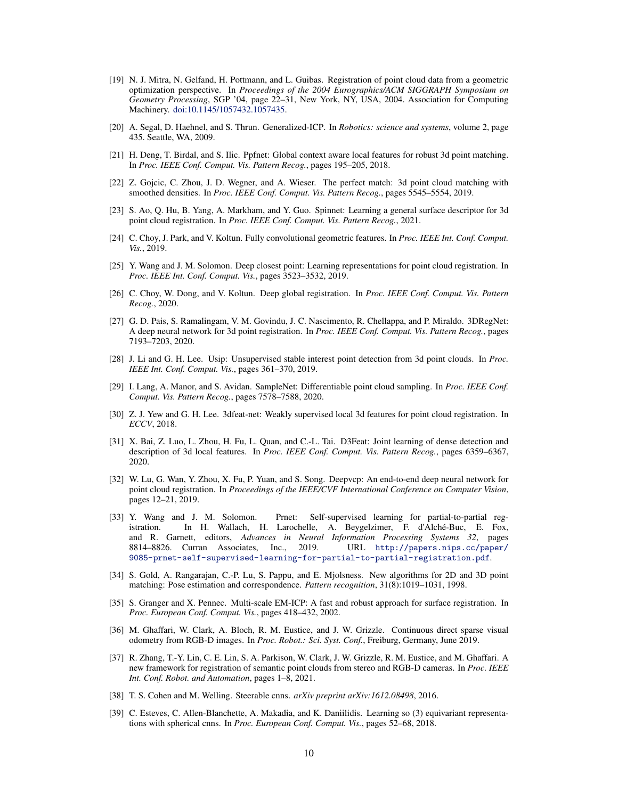- <span id="page-9-0"></span>[19] N. J. Mitra, N. Gelfand, H. Pottmann, and L. Guibas. Registration of point cloud data from a geometric optimization perspective. In *Proceedings of the 2004 Eurographics/ACM SIGGRAPH Symposium on Geometry Processing*, SGP '04, page 22–31, New York, NY, USA, 2004. Association for Computing Machinery. [doi:10.1145/1057432.1057435.](http://dx.doi.org/10.1145/1057432.1057435)
- [20] A. Segal, D. Haehnel, and S. Thrun. Generalized-ICP. In *Robotics: science and systems*, volume 2, page 435. Seattle, WA, 2009.
- [21] H. Deng, T. Birdal, and S. Ilic. Ppfnet: Global context aware local features for robust 3d point matching. In *Proc. IEEE Conf. Comput. Vis. Pattern Recog.*, pages 195–205, 2018.
- [22] Z. Gojcic, C. Zhou, J. D. Wegner, and A. Wieser. The perfect match: 3d point cloud matching with smoothed densities. In *Proc. IEEE Conf. Comput. Vis. Pattern Recog.*, pages 5545–5554, 2019.
- [23] S. Ao, Q. Hu, B. Yang, A. Markham, and Y. Guo. Spinnet: Learning a general surface descriptor for 3d point cloud registration. In *Proc. IEEE Conf. Comput. Vis. Pattern Recog.*, 2021.
- [24] C. Choy, J. Park, and V. Koltun. Fully convolutional geometric features. In *Proc. IEEE Int. Conf. Comput. Vis.*, 2019.
- [25] Y. Wang and J. M. Solomon. Deep closest point: Learning representations for point cloud registration. In *Proc. IEEE Int. Conf. Comput. Vis.*, pages 3523–3532, 2019.
- [26] C. Choy, W. Dong, and V. Koltun. Deep global registration. In *Proc. IEEE Conf. Comput. Vis. Pattern Recog.*, 2020.
- [27] G. D. Pais, S. Ramalingam, V. M. Govindu, J. C. Nascimento, R. Chellappa, and P. Miraldo. 3DRegNet: A deep neural network for 3d point registration. In *Proc. IEEE Conf. Comput. Vis. Pattern Recog.*, pages 7193–7203, 2020.
- [28] J. Li and G. H. Lee. Usip: Unsupervised stable interest point detection from 3d point clouds. In *Proc. IEEE Int. Conf. Comput. Vis.*, pages 361–370, 2019.
- [29] I. Lang, A. Manor, and S. Avidan. SampleNet: Differentiable point cloud sampling. In *Proc. IEEE Conf. Comput. Vis. Pattern Recog.*, pages 7578–7588, 2020.
- [30] Z. J. Yew and G. H. Lee. 3dfeat-net: Weakly supervised local 3d features for point cloud registration. In *ECCV*, 2018.
- [31] X. Bai, Z. Luo, L. Zhou, H. Fu, L. Quan, and C.-L. Tai. D3Feat: Joint learning of dense detection and description of 3d local features. In *Proc. IEEE Conf. Comput. Vis. Pattern Recog.*, pages 6359–6367, 2020.
- [32] W. Lu, G. Wan, Y. Zhou, X. Fu, P. Yuan, and S. Song. Deepvcp: An end-to-end deep neural network for point cloud registration. In *Proceedings of the IEEE/CVF International Conference on Computer Vision*, pages 12–21, 2019.
- [33] Y. Wang and J. M. Solomon. Prnet: Self-supervised learning for partial-to-partial registration. In H. Wallach, H. Larochelle, A. Beygelzimer, F. d'Alche-Buc, E. Fox, ´ and R. Garnett, editors, *Advances in Neural Information Processing Systems 32*, pages 8814–8826. Curran Associates, Inc., 2019. URL [http://papers.nips.cc/paper/](http://papers.nips.cc/paper/9085-prnet-self-supervised-learning-for-partial-to-partial-registration.pdf) [9085-prnet-self-supervised-learning-for-partial-to-partial-registration.pdf](http://papers.nips.cc/paper/9085-prnet-self-supervised-learning-for-partial-to-partial-registration.pdf).
- [34] S. Gold, A. Rangarajan, C.-P. Lu, S. Pappu, and E. Mjolsness. New algorithms for 2D and 3D point matching: Pose estimation and correspondence. *Pattern recognition*, 31(8):1019–1031, 1998.
- [35] S. Granger and X. Pennec. Multi-scale EM-ICP: A fast and robust approach for surface registration. In *Proc. European Conf. Comput. Vis.*, pages 418–432, 2002.
- [36] M. Ghaffari, W. Clark, A. Bloch, R. M. Eustice, and J. W. Grizzle. Continuous direct sparse visual odometry from RGB-D images. In *Proc. Robot.: Sci. Syst. Conf.*, Freiburg, Germany, June 2019.
- [37] R. Zhang, T.-Y. Lin, C. E. Lin, S. A. Parkison, W. Clark, J. W. Grizzle, R. M. Eustice, and M. Ghaffari. A new framework for registration of semantic point clouds from stereo and RGB-D cameras. In *Proc. IEEE Int. Conf. Robot. and Automation*, pages 1–8, 2021.
- [38] T. S. Cohen and M. Welling. Steerable cnns. *arXiv preprint arXiv:1612.08498*, 2016.
- [39] C. Esteves, C. Allen-Blanchette, A. Makadia, and K. Daniilidis. Learning so (3) equivariant representations with spherical cnns. In *Proc. European Conf. Comput. Vis.*, pages 52–68, 2018.